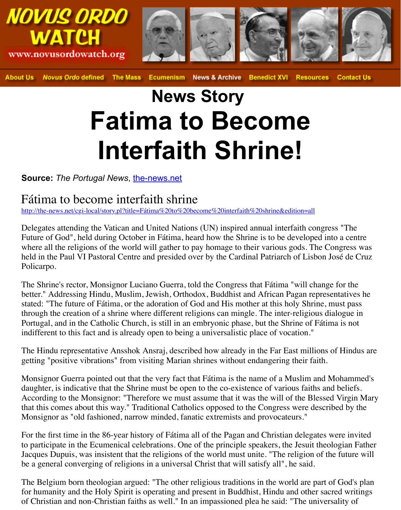## **News Story Fatima to Become Interfaith Shrine!**

## **Source:** The Portugal News, the-news.net

## Fátima to become interfaith shrine

http://the-news.net/cgi-local/story.pl?title=Fátima%20to%20become%20interfaith%20shrine&edition=all

Delegates attending the Vatican and United Nations (UN) inspired annual interfaith congress of the Vatican and United Nations (UN) inspired annual interfaith congress  $\overline{\phantom{a}}$ Future of God", held during October in Fátima, heard how the Shrine is to be developed in where all the religions of the world will gather to pay homage to their various gods. The Congress was upon the congress was was all the religions of the world will gather to pay homage to their various gods. The C held in the Paul VI Pastoral Cen[tre and presided](http://the-news.net/) over by the Cardinal Patriarch of Lisbon Policarpo.

The Shrine's rector, Monsignor Luciano Guerra, told the Congress that Fátima "will changently" [better." Addressing Hindu, Muslim, Jewish, Orthodox, Buddhist and African Pagan re](http://the-news.net/cgi-local/story.pl?title=F%E1tima%20to%20become%20interfaith%20shrine&edition=all)pre stated: "The future of Fátima, or the adoration of God and His mother at this holy Shrine, through the creation of a shrine where different religions can mingle. The inter-religious of Portugal, and in the Catholic Church, is still in an embryonic phase, but the Shrine of Fáti indifferent to this fact and is already open to being a universalistic place of vocation."

The Hindu representative Ansshok Ansraj, described how already in the Far East millions getting "positive vibrations" from visiting Marian shrines without endangering their faith.

Monsignor Guerra pointed out that the very fact that Fátima is the name of a Muslim and daughter, is indicative that the Shrine must be open to the co-existence of various faiths a According to the Monsignor: "Therefore we must assume that it was the will of the Blesse that this comes about this way." Traditional Catholics opposed to the Congress were described by the Music by the B Monsignor as "old fashioned, narrow minded, fanatic extremists and provocateurs."

For the first time in the 86-year history of Fátima all of the Pagan and Christian delegates to participate in the Ecumenical celebrations. One of the principle speakers, the Jesuit the Jacques Dupuis, was insistent that the religions of the world must unite. "The religion of the be a general converging of religions in a universal Christ that will satisfy all", he said.

The Belgium born theologian argued: "The other religious traditions in the world are part for humanity and the Holy Spirit is operating and present in Buddhist, Hindu and other sa of Christian and non-Christian faiths as well." In an impassioned plea he said: "The unive